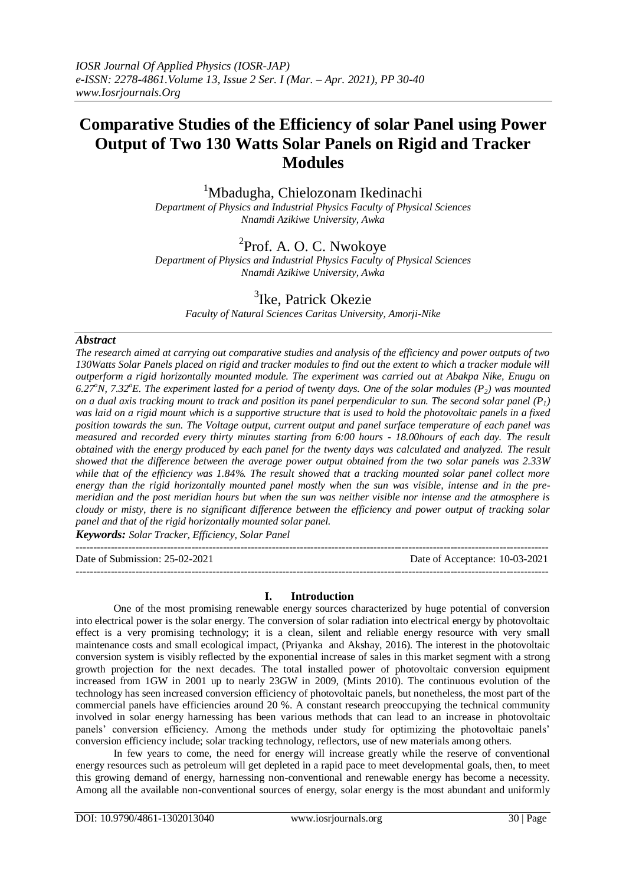# **Comparative Studies of the Efficiency of solar Panel using Power Output of Two 130 Watts Solar Panels on Rigid and Tracker Modules**

<sup>1</sup>Mbadugha, Chielozonam Ikedinachi

*Department of Physics and Industrial Physics Faculty of Physical Sciences Nnamdi Azikiwe University, Awka*

# <sup>2</sup>Prof. A. O. C. Nwokoye

*Department of Physics and Industrial Physics Faculty of Physical Sciences Nnamdi Azikiwe University, Awka*

# <sup>3</sup>Ike, Patrick Okezie

*Faculty of Natural Sciences Caritas University, Amorji-Nike*

## *Abstract*

*The research aimed at carrying out comparative studies and analysis of the efficiency and power outputs of two 130Watts Solar Panels placed on rigid and tracker modules to find out the extent to which a tracker module will outperform a rigid horizontally mounted module. The experiment was carried out at Abakpa Nike, Enugu on*  6.27<sup>*o*</sup>N, 7.32<sup>*o*</sup>**E.** The experiment lasted for a period of twenty days. One of the solar modules (P<sub>2</sub>) was mounted *on a dual axis tracking mount to track and position its panel perpendicular to sun. The second solar panel*  $(P_1)$ *was laid on a rigid mount which is a supportive structure that is used to hold the photovoltaic panels in a fixed position towards the sun. The Voltage output, current output and panel surface temperature of each panel was measured and recorded every thirty minutes starting from 6:00 hours - 18.00hours of each day. The result obtained with the energy produced by each panel for the twenty days was calculated and analyzed. The result showed that the difference between the average power output obtained from the two solar panels was 2.33W while that of the efficiency was 1.84%. The result showed that a tracking mounted solar panel collect more energy than the rigid horizontally mounted panel mostly when the sun was visible, intense and in the premeridian and the post meridian hours but when the sun was neither visible nor intense and the atmosphere is cloudy or misty, there is no significant difference between the efficiency and power output of tracking solar panel and that of the rigid horizontally mounted solar panel.*

*Keywords: Solar Tracker, Efficiency, Solar Panel* ---------------------------------------------------------------------------------------------------------------------------------------

Date of Submission: 25-02-2021 Date of Acceptance: 10-03-2021

---------------------------------------------------------------------------------------------------------------------------------------

## **I. Introduction**

One of the most promising renewable energy sources characterized by huge potential of conversion into electrical power is the solar energy. The conversion of solar radiation into electrical energy by photovoltaic effect is a very promising technology; it is a clean, silent and reliable energy resource with very small maintenance costs and small ecological impact, (Priyanka and Akshay, 2016). The interest in the photovoltaic conversion system is visibly reflected by the exponential increase of sales in this market segment with a strong growth projection for the next decades. The total installed power of photovoltaic conversion equipment increased from 1GW in 2001 up to nearly 23GW in 2009, (Mints 2010). The continuous evolution of the technology has seen increased conversion efficiency of photovoltaic panels, but nonetheless, the most part of the commercial panels have efficiencies around 20 %. A constant research preoccupying the technical community involved in solar energy harnessing has been various methods that can lead to an increase in photovoltaic panels' conversion efficiency. Among the methods under study for optimizing the photovoltaic panels' conversion efficiency include; solar tracking technology, reflectors, use of new materials among others.

In few years to come, the need for energy will increase greatly while the reserve of conventional energy resources such as petroleum will get depleted in a rapid pace to meet developmental goals, then, to meet this growing demand of energy, harnessing non-conventional and renewable energy has become a necessity. Among all the available non-conventional sources of energy, solar energy is the most abundant and uniformly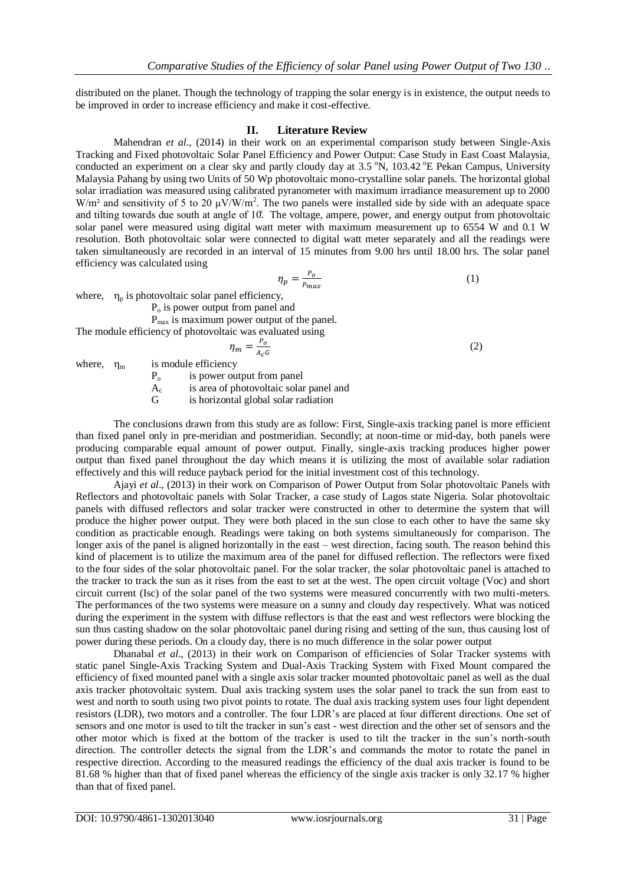distributed on the planet. Though the technology of trapping the solar energy is in existence, the output needs to be improved in order to increase efficiency and make it cost-effective.

#### **II. Literature Review**

Mahendran *et al*., (2014) in their work on an experimental comparison study between Single-Axis Tracking and Fixed photovoltaic Solar Panel Efficiency and Power Output: Case Study in East Coast Malaysia, conducted an experiment on a clear sky and partly cloudy day at 3.5 °N, 103.42 °E Pekan Campus, University Malaysia Pahang by using two Units of 50 Wp photovoltaic mono-crystalline solar panels. The horizontal global solar irradiation was measured using calibrated pyranometer with maximum irradiance measurement up to 2000 W/m<sup>2</sup> and sensitivity of 5 to 20  $\mu$ V/W/m<sup>2</sup>. The two panels were installed side by side with an adequate space and tilting towards due south at angle of 10. The voltage, ampere, power, and energy output from photovoltaic solar panel were measured using digital watt meter with maximum measurement up to 6554 W and 0.1 W resolution. Both photovoltaic solar were connected to digital watt meter separately and all the readings were taken simultaneously are recorded in an interval of 15 minutes from 9.00 hrs until 18.00 hrs. The solar panel efficiency was calculated using

$$
\eta_p = \frac{P_o}{P_{max}}\tag{1}
$$

(2)

where,  $\eta_p$  is photovoltaic solar panel efficiency,

 $P<sub>o</sub>$  is power output from panel and

Pmax is maximum power output of the panel.

The module efficiency of photovoltaic was evaluated using

$$
\eta_m = \frac{P_o}{A_c G}
$$

where,  $\eta_{\rm m}$  is module efficiency

 $P_0$  is power output from panel

 $A_c$ is area of photovoltaic solar panel and

G is horizontal global solar radiation

The conclusions drawn from this study are as follow: First, Single-axis tracking panel is more efficient than fixed panel only in pre-meridian and postmeridian. Secondly; at noon-time or mid-day, both panels were producing comparable equal amount of power output. Finally, single-axis tracking produces higher power output than fixed panel throughout the day which means it is utilizing the most of available solar radiation effectively and this will reduce payback period for the initial investment cost of this technology.

Ajayi *et al*., (2013) in their work on Comparison of Power Output from Solar photovoltaic Panels with Reflectors and photovoltaic panels with Solar Tracker, a case study of Lagos state Nigeria. Solar photovoltaic panels with diffused reflectors and solar tracker were constructed in other to determine the system that will produce the higher power output. They were both placed in the sun close to each other to have the same sky condition as practicable enough. Readings were taking on both systems simultaneously for comparison. The longer axis of the panel is aligned horizontally in the east – west direction, facing south. The reason behind this kind of placement is to utilize the maximum area of the panel for diffused reflection. The reflectors were fixed to the four sides of the solar photovoltaic panel. For the solar tracker, the solar photovoltaic panel is attached to the tracker to track the sun as it rises from the east to set at the west. The open circuit voltage (Voc) and short circuit current (Isc) of the solar panel of the two systems were measured concurrently with two multi-meters. The performances of the two systems were measure on a sunny and cloudy day respectively. What was noticed during the experiment in the system with diffuse reflectors is that the east and west reflectors were blocking the sun thus casting shadow on the solar photovoltaic panel during rising and setting of the sun, thus causing lost of power during these periods. On a cloudy day, there is no much difference in the solar power output

Dhanabal *et al*., (2013) in their work on Comparison of efficiencies of Solar Tracker systems with static panel Single-Axis Tracking System and Dual-Axis Tracking System with Fixed Mount compared the efficiency of fixed mounted panel with a single axis solar tracker mounted photovoltaic panel as well as the dual axis tracker photovoltaic system. Dual axis tracking system uses the solar panel to track the sun from east to west and north to south using two pivot points to rotate. The dual axis tracking system uses four light dependent resistors (LDR), two motors and a controller. The four LDR's are placed at four different directions. One set of sensors and one motor is used to tilt the tracker in sun's east - west direction and the other set of sensors and the other motor which is fixed at the bottom of the tracker is used to tilt the tracker in the sun's north-south direction. The controller detects the signal from the LDR's and commands the motor to rotate the panel in respective direction. According to the measured readings the efficiency of the dual axis tracker is found to be 81.68 % higher than that of fixed panel whereas the efficiency of the single axis tracker is only 32.17 % higher than that of fixed panel.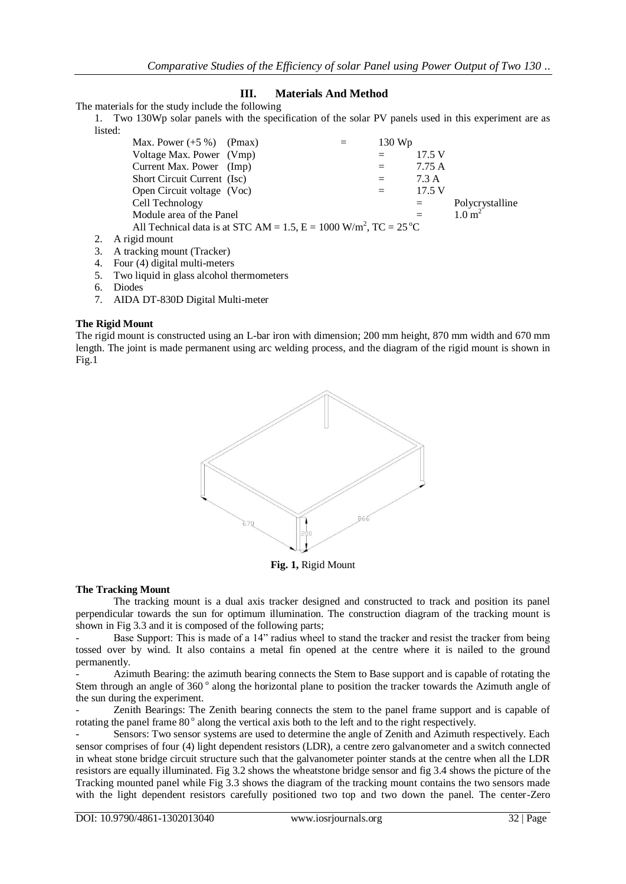## **III. Materials And Method**

The materials for the study include the following

1. Two 130Wp solar panels with the specification of the solar PV panels used in this experiment are as listed:

| Max. Power $(+5\%)$ (Pmax)                                                                  | $130 \,\mathrm{Wp}$ |        |                   |
|---------------------------------------------------------------------------------------------|---------------------|--------|-------------------|
| Voltage Max. Power (Vmp)                                                                    |                     | 17.5 V |                   |
| Current Max. Power (Imp)                                                                    | $=$                 | 7.75 A |                   |
| Short Circuit Current (Isc)                                                                 | $=$                 | 7.3 A  |                   |
| Open Circuit voltage (Voc)                                                                  |                     | 17.5 V |                   |
| Cell Technology                                                                             |                     | $=$    | Polycrystalline   |
| Module area of the Panel                                                                    |                     |        | $1.0 \text{ m}^2$ |
| All Technical data is at STC AM = 1.5, $E = 1000$ W/m <sup>2</sup> , TC = 25 <sup>o</sup> C |                     |        |                   |
| 2. A rigid mount                                                                            |                     |        |                   |
|                                                                                             |                     |        |                   |

- 3. A tracking mount (Tracker)
- 4. Four (4) digital multi-meters
- 5. Two liquid in glass alcohol thermometers
- 6. Diodes
- 7. AIDA DT-830D Digital Multi-meter

## **The Rigid Mount**

The rigid mount is constructed using an L-bar iron with dimension; 200 mm height, 870 mm width and 670 mm length. The joint is made permanent using arc welding process, and the diagram of the rigid mount is shown in Fig.1



**Fig. 1,** Rigid Mount

#### **The Tracking Mount**

The tracking mount is a dual axis tracker designed and constructed to track and position its panel perpendicular towards the sun for optimum illumination. The construction diagram of the tracking mount is shown in Fig 3.3 and it is composed of the following parts;

Base Support: This is made of a 14" radius wheel to stand the tracker and resist the tracker from being tossed over by wind. It also contains a metal fin opened at the centre where it is nailed to the ground permanently.

- Azimuth Bearing: the azimuth bearing connects the Stem to Base support and is capable of rotating the Stem through an angle of 360° along the horizontal plane to position the tracker towards the Azimuth angle of the sun during the experiment.

- Zenith Bearings: The Zenith bearing connects the stem to the panel frame support and is capable of rotating the panel frame 80° along the vertical axis both to the left and to the right respectively.

Sensors: Two sensor systems are used to determine the angle of Zenith and Azimuth respectively. Each sensor comprises of four (4) light dependent resistors (LDR), a centre zero galvanometer and a switch connected in wheat stone bridge circuit structure such that the galvanometer pointer stands at the centre when all the LDR resistors are equally illuminated. Fig 3.2 shows the wheatstone bridge sensor and fig 3.4 shows the picture of the Tracking mounted panel while Fig 3.3 shows the diagram of the tracking mount contains the two sensors made with the light dependent resistors carefully positioned two top and two down the panel. The center-Zero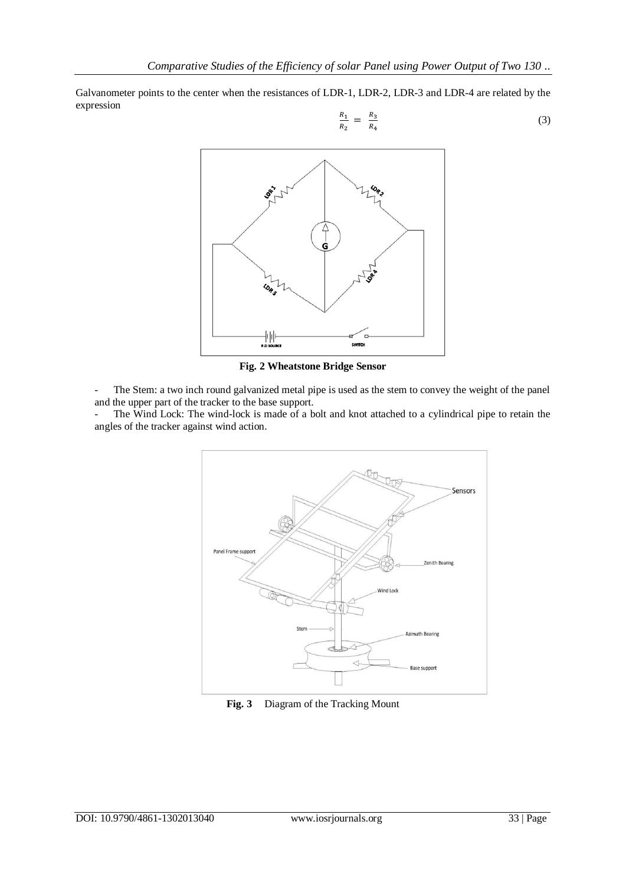Galvanometer points to the center when the resistances of LDR-1, LDR-2, LDR-3 and LDR-4 are related by the expression

$$
\frac{R_1}{R_2} = \frac{R_3}{R_4} \tag{3}
$$



**Fig. 2 Wheatstone Bridge Sensor**

- The Stem: a two inch round galvanized metal pipe is used as the stem to convey the weight of the panel and the upper part of the tracker to the base support.

- The Wind Lock: The wind-lock is made of a bolt and knot attached to a cylindrical pipe to retain the angles of the tracker against wind action.



**Fig. 3** Diagram of the Tracking Mount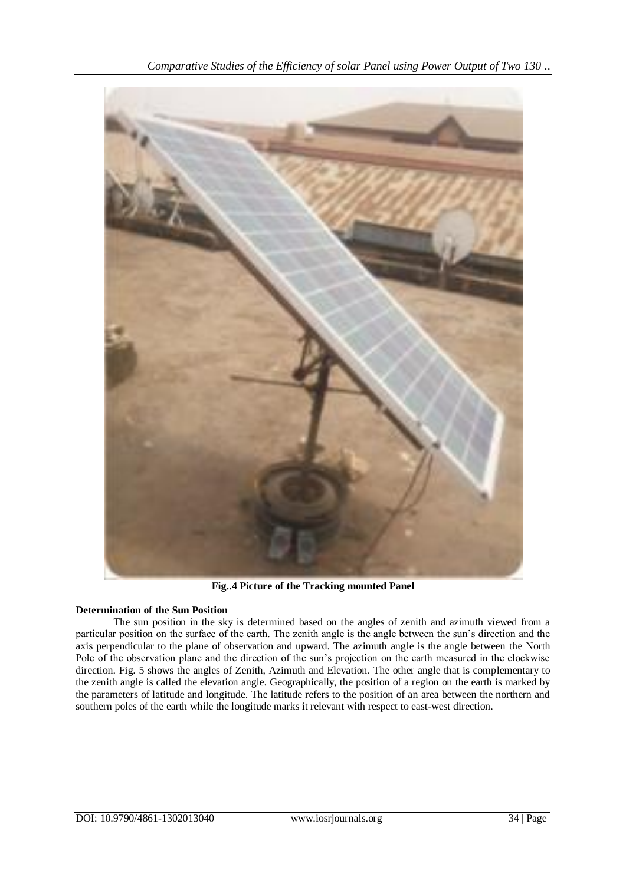

**Fig..4 Picture of the Tracking mounted Panel**

## **Determination of the Sun Position**

The sun position in the sky is determined based on the angles of zenith and azimuth viewed from a particular position on the surface of the earth. The zenith angle is the angle between the sun's direction and the axis perpendicular to the plane of observation and upward. The azimuth angle is the angle between the North Pole of the observation plane and the direction of the sun's projection on the earth measured in the clockwise direction. Fig. 5 shows the angles of Zenith, Azimuth and Elevation. The other angle that is complementary to the zenith angle is called the elevation angle. Geographically, the position of a region on the earth is marked by the parameters of latitude and longitude. The latitude refers to the position of an area between the northern and southern poles of the earth while the longitude marks it relevant with respect to east-west direction.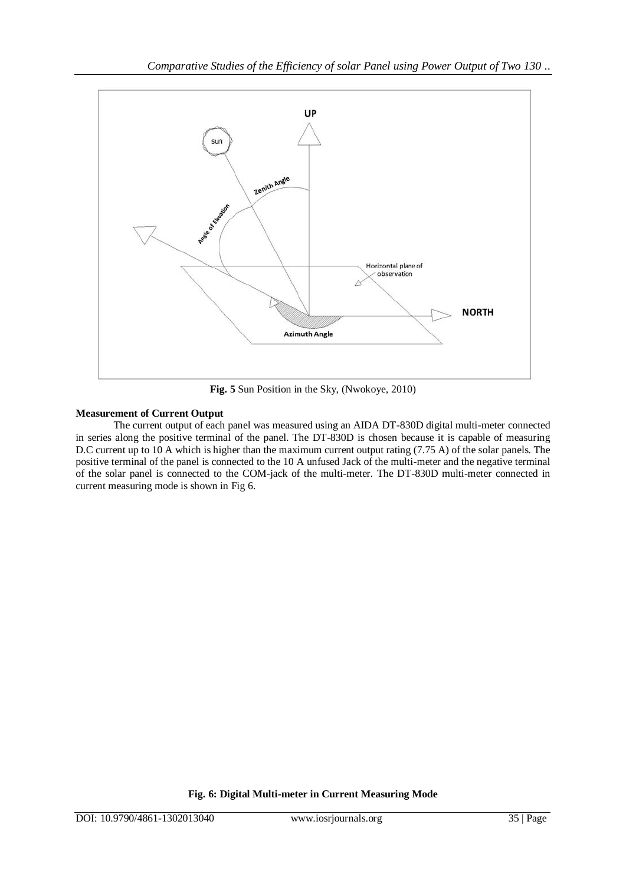

**Fig. 5** Sun Position in the Sky, (Nwokoye, 2010)

## **Measurement of Current Output**

The current output of each panel was measured using an AIDA DT-830D digital multi-meter connected in series along the positive terminal of the panel. The DT-830D is chosen because it is capable of measuring D.C current up to 10 A which is higher than the maximum current output rating (7.75 A) of the solar panels. The positive terminal of the panel is connected to the 10 A unfused Jack of the multi-meter and the negative terminal of the solar panel is connected to the COM-jack of the multi-meter. The DT-830D multi-meter connected in current measuring mode is shown in Fig 6.

**Fig. 6: Digital Multi-meter in Current Measuring Mode**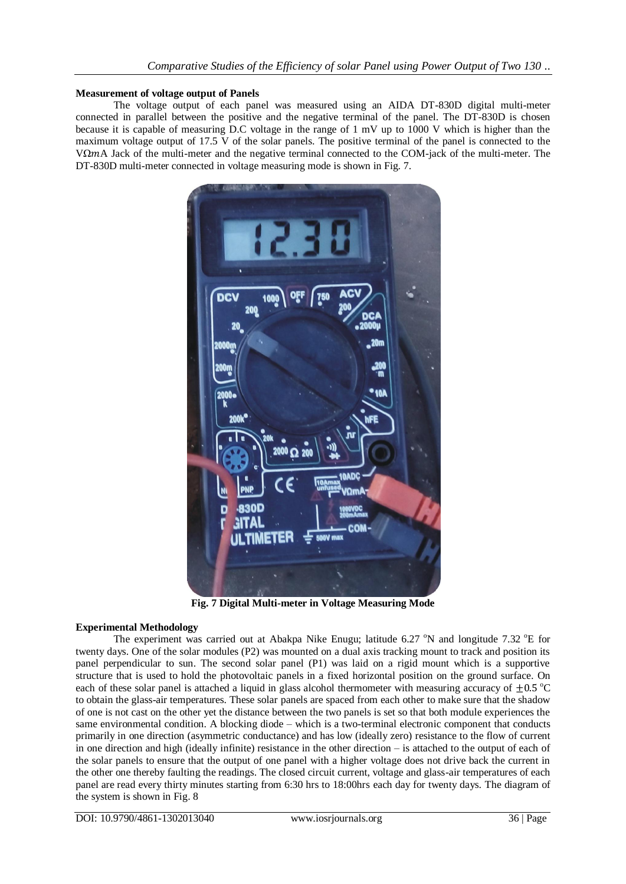#### **Measurement of voltage output of Panels**

The voltage output of each panel was measured using an AIDA DT-830D digital multi-meter connected in parallel between the positive and the negative terminal of the panel. The DT-830D is chosen because it is capable of measuring D.C voltage in the range of 1 mV up to 1000 V which is higher than the maximum voltage output of 17.5 V of the solar panels. The positive terminal of the panel is connected to the V $\Omega$ mA Jack of the multi-meter and the negative terminal connected to the COM-jack of the multi-meter. The DT-830D multi-meter connected in voltage measuring mode is shown in Fig. 7.



**Fig. 7 Digital Multi-meter in Voltage Measuring Mode**

## **Experimental Methodology**

The experiment was carried out at Abakpa Nike Enugu; latitude 6.27  $\degree$ N and longitude 7.32  $\degree$ E for twenty days. One of the solar modules (P2) was mounted on a dual axis tracking mount to track and position its panel perpendicular to sun. The second solar panel (P1) was laid on a rigid mount which is a supportive structure that is used to hold the photovoltaic panels in a fixed horizontal position on the ground surface. On each of these solar panel is attached a liquid in glass alcohol thermometer with measuring accuracy of  $\pm 0.5$  °C to obtain the glass-air temperatures. These solar panels are spaced from each other to make sure that the shadow of one is not cast on the other yet the distance between the two panels is set so that both module experiences the same environmental condition. A blocking diode – which is a two[-terminal](https://en.wikipedia.org/wiki/Terminal_%28electronics%29) [electronic component](https://en.wikipedia.org/wiki/Electronic_component) that conducts primarily in one direction (asymmetric [conductance\)](https://en.wikipedia.org/wiki/Electrical_conductance) and has low (ideally zero) [resistance](https://en.wikipedia.org/wiki/Electrical_resistance_and_conductance) to the flow of [current](https://en.wikipedia.org/wiki/Electric_current) in one direction and high (ideally [infinite\)](https://en.wikipedia.org/wiki/Infinity) resistance in the other direction – is attached to the output of each of the solar panels to ensure that the output of one panel with a higher voltage does not drive back the current in the other one thereby faulting the readings. The closed circuit current, voltage and glass-air temperatures of each panel are read every thirty minutes starting from 6:30 hrs to 18:00hrs each day for twenty days. The diagram of the system is shown in Fig. 8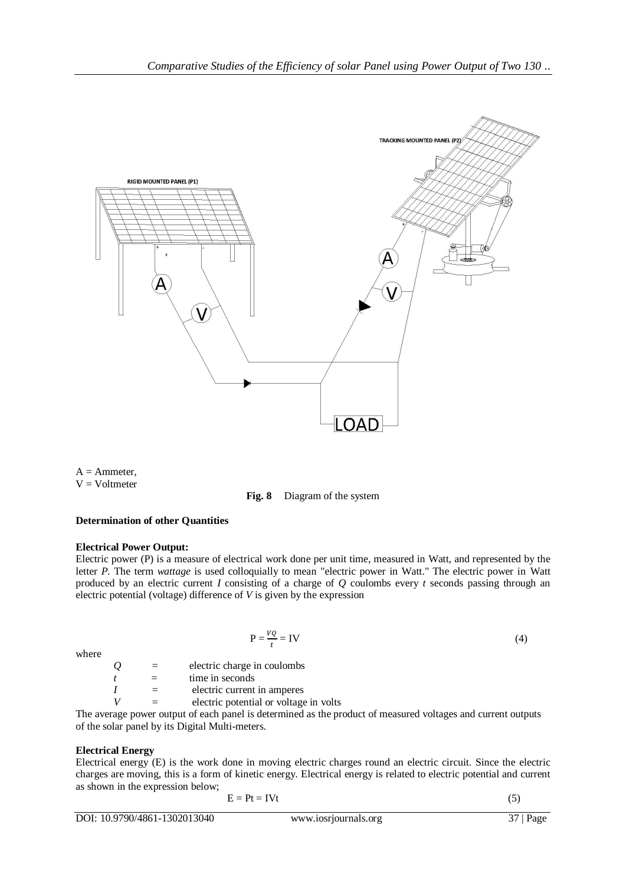

 $A =$  Ammeter,  $V = Voltmeter$ 

**Fig. 8** Diagram of the system

## **Determination of other Quantities**

## **Electrical Power Output:**

Electric power (P) is a measure of electrical [work done per unit time,](https://en.wikipedia.org/wiki/Work_%28electrical%29) measured in [Watt,](https://en.wikipedia.org/wiki/Watt) and represented by the letter *P*. The term *wattage* is used colloquially to mean "electric power in [Watt](https://en.wikipedia.org/wiki/Watt)." The electric power in Watt produced by an electric current *I* consisting of a charge of *Q* coulombs every *t* seconds passing through an [electric potential](https://en.wikipedia.org/wiki/Electric_potential) [\(voltage\)](https://en.wikipedia.org/wiki/Voltage) difference of *V* is given by the expression

where

 $P = \frac{V}{t}$  $=$  IV (4)

*Q =* electric charge in [coulombs](https://en.wikipedia.org/wiki/Coulomb)  $t =$  time i[n seconds](https://en.wikipedia.org/wiki/Second) *I =* electric current in [amperes](https://en.wikipedia.org/wiki/Ampere) *V =* electric potential or voltage in [volts](https://en.wikipedia.org/wiki/Volt)

The average power output of each panel is determined as the product of measured voltages and current outputs of the solar panel by its Digital Multi-meters.

## **Electrical Energy**

Electrical energy (E) is the work done in moving electric charges round an electric circuit. Since the electric charges are moving, this is a form of kinetic energy. Electrical energy is related to electric potential and current as shown in the expression below;

$$
E = Pt = IVt
$$
 (5)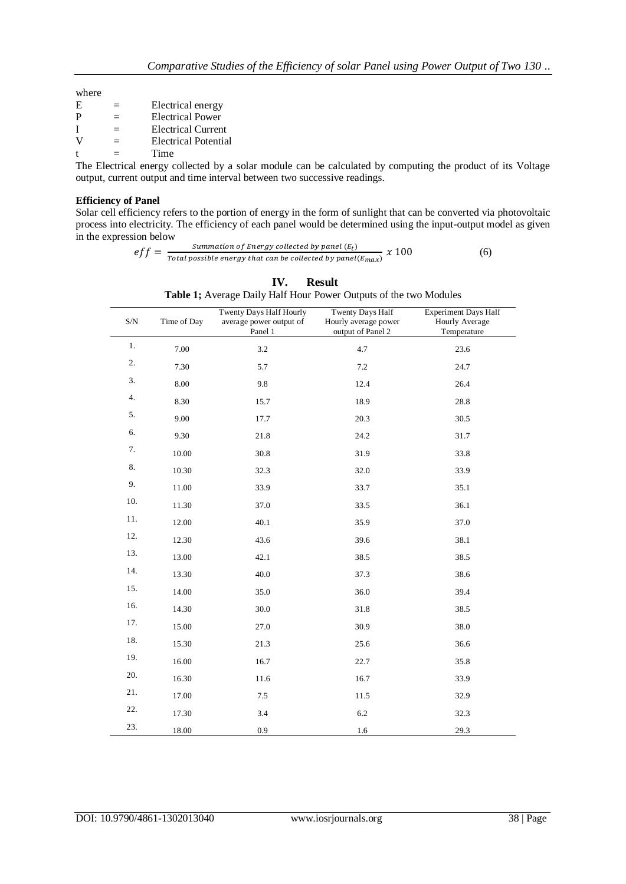| where |  |
|-------|--|
|       |  |

| E            |     | Electrical energy         |
|--------------|-----|---------------------------|
| P            | $=$ | <b>Electrical Power</b>   |
|              | $=$ | <b>Electrical Current</b> |
| v            | $=$ | Electrical Potential      |
| $^{\dagger}$ |     | Time                      |

The Electrical energy collected by a solar module can be calculated by computing the product of its Voltage output, current output and time interval between two successive readings.

## **Efficiency of Panel**

Solar cell efficiency refers to the portion of energy in the form of sunlight that can be converted via [photovoltaic](https://en.wikipedia.org/wiki/Photovoltaic) process into electricity. The efficiency of each panel would be determined using the input-output model as given in the expression below

> $eff = \frac{s}{\pi r L}$  $\frac{3}{\pi}$  and  $\frac{3}{\pi}$  constructed by panel ( $\frac{1}{\pi}$ ) x 100 (6)

| $\ensuremath{\mathrm{S/N}}$ | Time of Day | Twenty Days Half Hourly<br>average power output of<br>Panel 1 | Twenty Days Half<br>Hourly average power<br>output of Panel 2 | <b>Experiment Days Half</b><br>Hourly Average<br>Temperature |
|-----------------------------|-------------|---------------------------------------------------------------|---------------------------------------------------------------|--------------------------------------------------------------|
| 1.                          | 7.00        | 3.2                                                           | 4.7                                                           | 23.6                                                         |
| 2.                          | 7.30        | 5.7                                                           | 7.2                                                           | 24.7                                                         |
| 3.                          | $8.00\,$    | 9.8                                                           | 12.4                                                          | 26.4                                                         |
| 4.                          | 8.30        | 15.7                                                          | 18.9                                                          | 28.8                                                         |
| 5.                          | 9.00        | 17.7                                                          | 20.3                                                          | 30.5                                                         |
| 6.                          | 9.30        | 21.8                                                          | 24.2                                                          | 31.7                                                         |
| 7.                          | 10.00       | 30.8                                                          | 31.9                                                          | 33.8                                                         |
| 8.                          | 10.30       | 32.3                                                          | 32.0                                                          | 33.9                                                         |
| 9.                          | 11.00       | 33.9                                                          | 33.7                                                          | 35.1                                                         |
| 10.                         | 11.30       | 37.0                                                          | 33.5                                                          | 36.1                                                         |
| 11.                         | 12.00       | 40.1                                                          | 35.9                                                          | 37.0                                                         |
| 12.                         | 12.30       | 43.6                                                          | 39.6                                                          | 38.1                                                         |
| 13.                         | 13.00       | 42.1                                                          | 38.5                                                          | 38.5                                                         |
| 14.                         | 13.30       | 40.0                                                          | 37.3                                                          | 38.6                                                         |
| 15.                         | 14.00       | 35.0                                                          | 36.0                                                          | 39.4                                                         |
| 16.                         | 14.30       | 30.0                                                          | 31.8                                                          | 38.5                                                         |
| 17.                         | 15.00       | 27.0                                                          | 30.9                                                          | 38.0                                                         |
| 18.                         | 15.30       | 21.3                                                          | 25.6                                                          | 36.6                                                         |
| 19.                         | 16.00       | 16.7                                                          | 22.7                                                          | 35.8                                                         |
| 20.                         | 16.30       | 11.6                                                          | 16.7                                                          | 33.9                                                         |
| 21.                         | 17.00       | 7.5                                                           | 11.5                                                          | 32.9                                                         |
| 22.                         | 17.30       | 3.4                                                           | 6.2                                                           | 32.3                                                         |
| 23.                         | 18.00       | 0.9                                                           | 1.6                                                           | 29.3                                                         |

|                                                                   | IV. Result |  |  |
|-------------------------------------------------------------------|------------|--|--|
| Table 1; Average Daily Half Hour Power Outputs of the two Modules |            |  |  |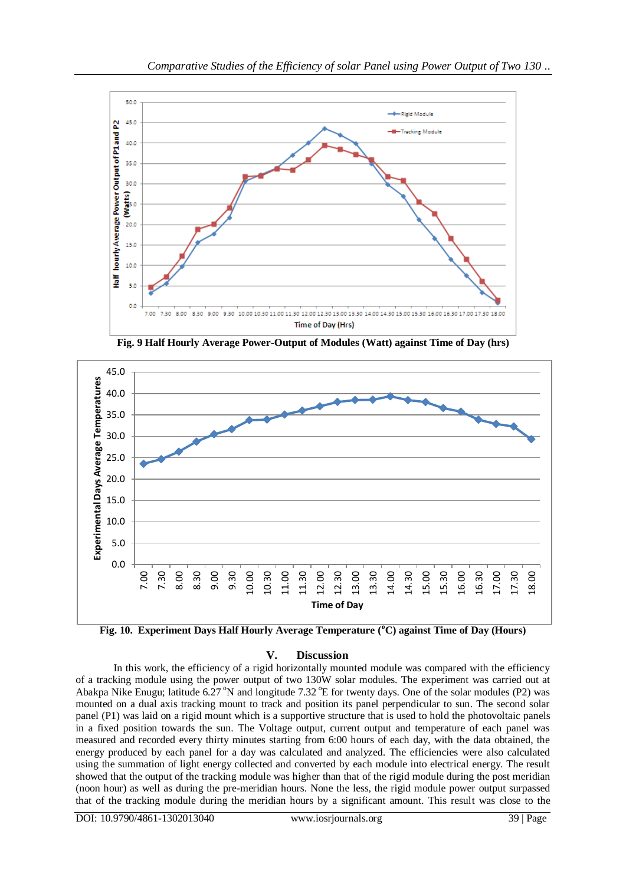

**Fig. 9 Half Hourly Average Power-Output of Modules (Watt) against Time of Day (hrs)**



**Fig. 10. Experiment Days Half Hourly Average Temperature (<sup>o</sup>C) against Time of Day (Hours)**

## **V. Discussion**

In this work, the efficiency of a rigid horizontally mounted module was compared with the efficiency of a tracking module using the power output of two 130W solar modules. The experiment was carried out at Abakpa Nike Enugu; latitude 6.27 °N and longitude 7.32 °E for twenty days. One of the solar modules (P2) was mounted on a dual axis tracking mount to track and position its panel perpendicular to sun. The second solar panel (P1) was laid on a rigid mount which is a supportive structure that is used to hold the photovoltaic panels in a fixed position towards the sun. The Voltage output, current output and temperature of each panel was measured and recorded every thirty minutes starting from 6:00 hours of each day, with the data obtained, the energy produced by each panel for a day was calculated and analyzed. The efficiencies were also calculated using the summation of light energy collected and converted by each module into electrical energy. The result showed that the output of the tracking module was higher than that of the rigid module during the post meridian (noon hour) as well as during the pre-meridian hours. None the less, the rigid module power output surpassed that of the tracking module during the meridian hours by a significant amount. This result was close to the